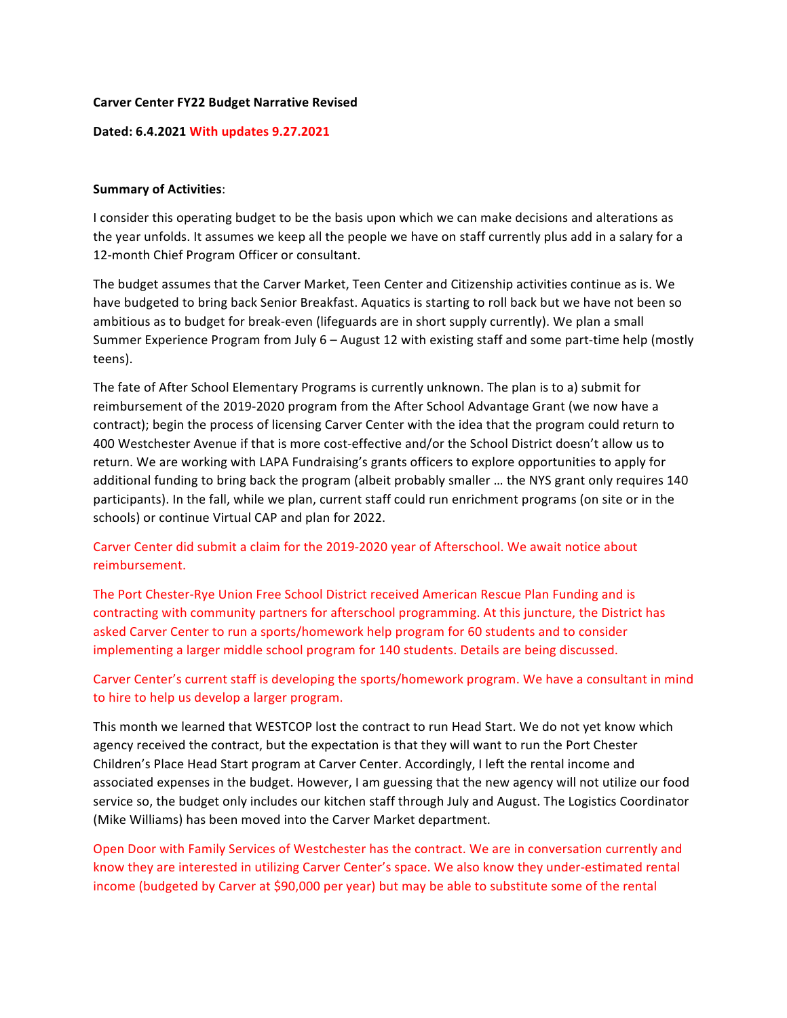#### **Carver Center FY22 Budget Narrative Revised**

### **Dated: 6.4.2021 With updates 9.27.2021**

#### **Summary of Activities**:

I consider this operating budget to be the basis upon which we can make decisions and alterations as the year unfolds. It assumes we keep all the people we have on staff currently plus add in a salary for a 12-month Chief Program Officer or consultant.

The budget assumes that the Carver Market, Teen Center and Citizenship activities continue as is. We have budgeted to bring back Senior Breakfast. Aquatics is starting to roll back but we have not been so ambitious as to budget for break-even (lifeguards are in short supply currently). We plan a small Summer Experience Program from July  $6 -$  August 12 with existing staff and some part-time help (mostly teens). 

The fate of After School Elementary Programs is currently unknown. The plan is to a) submit for reimbursement of the 2019-2020 program from the After School Advantage Grant (we now have a contract); begin the process of licensing Carver Center with the idea that the program could return to 400 Westchester Avenue if that is more cost-effective and/or the School District doesn't allow us to return. We are working with LAPA Fundraising's grants officers to explore opportunities to apply for additional funding to bring back the program (albeit probably smaller ... the NYS grant only requires 140 participants). In the fall, while we plan, current staff could run enrichment programs (on site or in the schools) or continue Virtual CAP and plan for 2022.

Carver Center did submit a claim for the 2019-2020 year of Afterschool. We await notice about reimbursement.

The Port Chester-Rye Union Free School District received American Rescue Plan Funding and is contracting with community partners for afterschool programming. At this juncture, the District has asked Carver Center to run a sports/homework help program for 60 students and to consider implementing a larger middle school program for 140 students. Details are being discussed.

# Carver Center's current staff is developing the sports/homework program. We have a consultant in mind to hire to help us develop a larger program.

This month we learned that WESTCOP lost the contract to run Head Start. We do not yet know which agency received the contract, but the expectation is that they will want to run the Port Chester Children's Place Head Start program at Carver Center. Accordingly, I left the rental income and associated expenses in the budget. However, I am guessing that the new agency will not utilize our food service so, the budget only includes our kitchen staff through July and August. The Logistics Coordinator (Mike Williams) has been moved into the Carver Market department.

Open Door with Family Services of Westchester has the contract. We are in conversation currently and know they are interested in utilizing Carver Center's space. We also know they under-estimated rental income (budgeted by Carver at \$90,000 per year) but may be able to substitute some of the rental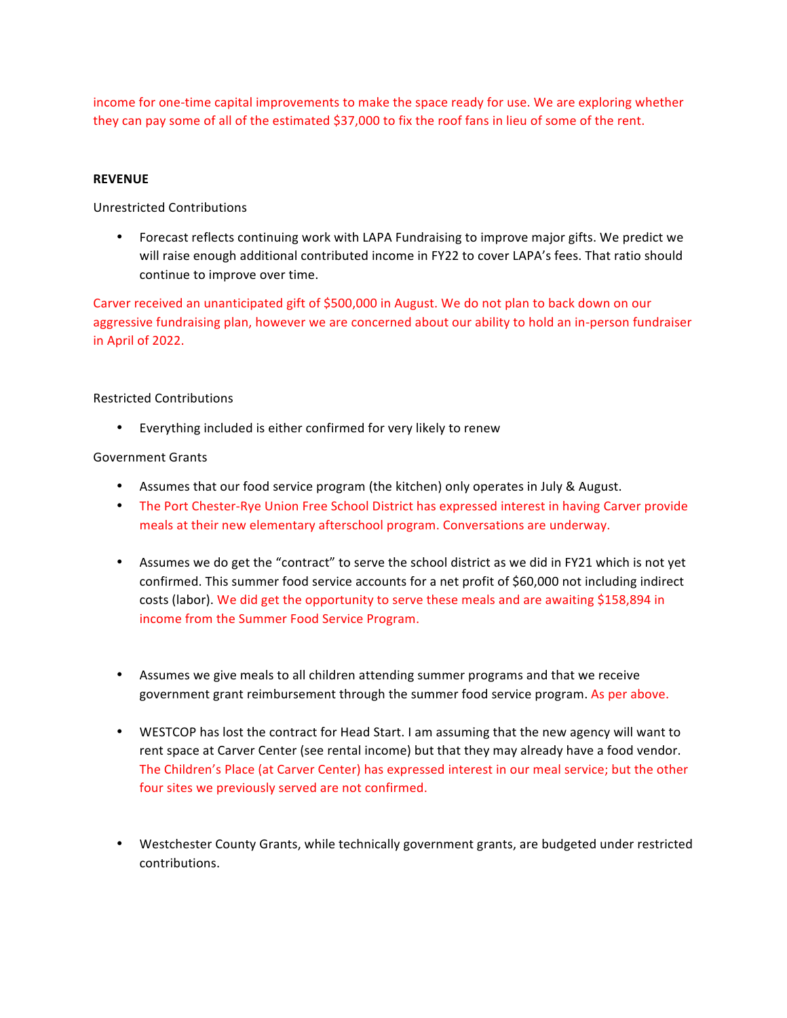income for one-time capital improvements to make the space ready for use. We are exploring whether they can pay some of all of the estimated \$37,000 to fix the roof fans in lieu of some of the rent.

### **REVENUE**

Unrestricted Contributions

• Forecast reflects continuing work with LAPA Fundraising to improve major gifts. We predict we will raise enough additional contributed income in FY22 to cover LAPA's fees. That ratio should continue to improve over time.

Carver received an unanticipated gift of \$500,000 in August. We do not plan to back down on our aggressive fundraising plan, however we are concerned about our ability to hold an in-person fundraiser in April of 2022.

### Restricted Contributions

• Everything included is either confirmed for very likely to renew

### Government Grants

- Assumes that our food service program (the kitchen) only operates in July & August.
- The Port Chester-Rye Union Free School District has expressed interest in having Carver provide meals at their new elementary afterschool program. Conversations are underway.
- Assumes we do get the "contract" to serve the school district as we did in FY21 which is not yet confirmed. This summer food service accounts for a net profit of \$60,000 not including indirect costs (labor). We did get the opportunity to serve these meals and are awaiting \$158,894 in income from the Summer Food Service Program.
- Assumes we give meals to all children attending summer programs and that we receive government grant reimbursement through the summer food service program. As per above.
- WESTCOP has lost the contract for Head Start. I am assuming that the new agency will want to rent space at Carver Center (see rental income) but that they may already have a food vendor. The Children's Place (at Carver Center) has expressed interest in our meal service; but the other four sites we previously served are not confirmed.
- Westchester County Grants, while technically government grants, are budgeted under restricted contributions.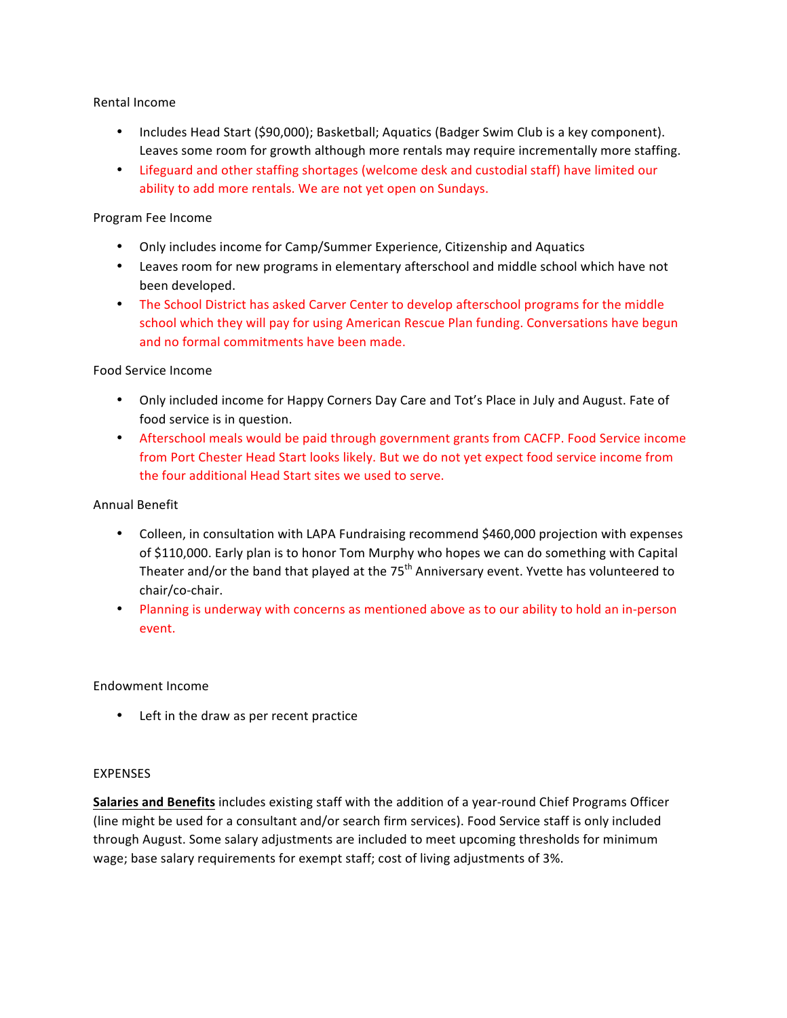### Rental Income

- Includes Head Start (\$90,000); Basketball; Aquatics (Badger Swim Club is a key component). Leaves some room for growth although more rentals may require incrementally more staffing.
- Lifeguard and other staffing shortages (welcome desk and custodial staff) have limited our ability to add more rentals. We are not yet open on Sundays.

#### Program Fee Income

- Only includes income for Camp/Summer Experience, Citizenship and Aquatics
- Leaves room for new programs in elementary afterschool and middle school which have not been developed.
- The School District has asked Carver Center to develop afterschool programs for the middle school which they will pay for using American Rescue Plan funding. Conversations have begun and no formal commitments have been made.

### Food Service Income

- Only included income for Happy Corners Day Care and Tot's Place in July and August. Fate of food service is in question.
- Afterschool meals would be paid through government grants from CACFP. Food Service income from Port Chester Head Start looks likely. But we do not yet expect food service income from the four additional Head Start sites we used to serve.

#### Annual Benefit

- Colleen, in consultation with LAPA Fundraising recommend \$460,000 projection with expenses of \$110,000. Early plan is to honor Tom Murphy who hopes we can do something with Capital Theater and/or the band that played at the  $75<sup>th</sup>$  Anniversary event. Yvette has volunteered to chair/co-chair.
- Planning is underway with concerns as mentioned above as to our ability to hold an in-person event.

## Endowment Income

• Left in the draw as per recent practice

#### EXPENSES

**Salaries and Benefits** includes existing staff with the addition of a year-round Chief Programs Officer (line might be used for a consultant and/or search firm services). Food Service staff is only included through August. Some salary adjustments are included to meet upcoming thresholds for minimum wage; base salary requirements for exempt staff; cost of living adjustments of 3%.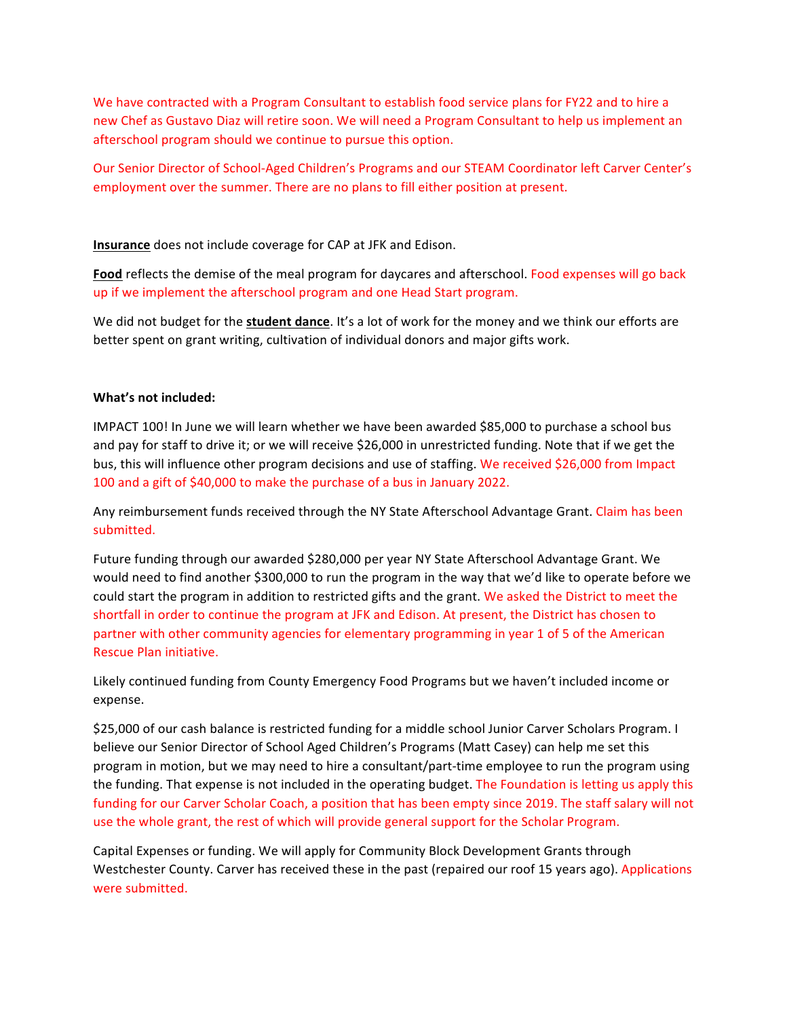We have contracted with a Program Consultant to establish food service plans for FY22 and to hire a new Chef as Gustavo Diaz will retire soon. We will need a Program Consultant to help us implement an afterschool program should we continue to pursue this option.

Our Senior Director of School-Aged Children's Programs and our STEAM Coordinator left Carver Center's employment over the summer. There are no plans to fill either position at present.

**Insurance** does not include coverage for CAP at JFK and Edison.

Food reflects the demise of the meal program for daycares and afterschool. Food expenses will go back up if we implement the afterschool program and one Head Start program.

We did not budget for the **student dance**. It's a lot of work for the money and we think our efforts are better spent on grant writing, cultivation of individual donors and major gifts work.

#### **What's not included:**

IMPACT 100! In June we will learn whether we have been awarded \$85,000 to purchase a school bus and pay for staff to drive it; or we will receive \$26,000 in unrestricted funding. Note that if we get the bus, this will influence other program decisions and use of staffing. We received \$26,000 from Impact 100 and a gift of \$40,000 to make the purchase of a bus in January 2022.

Any reimbursement funds received through the NY State Afterschool Advantage Grant. Claim has been submitted.

Future funding through our awarded \$280,000 per year NY State Afterschool Advantage Grant. We would need to find another \$300,000 to run the program in the way that we'd like to operate before we could start the program in addition to restricted gifts and the grant. We asked the District to meet the shortfall in order to continue the program at JFK and Edison. At present, the District has chosen to partner with other community agencies for elementary programming in year 1 of 5 of the American Rescue Plan initiative.

Likely continued funding from County Emergency Food Programs but we haven't included income or expense.

\$25,000 of our cash balance is restricted funding for a middle school Junior Carver Scholars Program. I believe our Senior Director of School Aged Children's Programs (Matt Casey) can help me set this program in motion, but we may need to hire a consultant/part-time employee to run the program using the funding. That expense is not included in the operating budget. The Foundation is letting us apply this funding for our Carver Scholar Coach, a position that has been empty since 2019. The staff salary will not use the whole grant, the rest of which will provide general support for the Scholar Program.

Capital Expenses or funding. We will apply for Community Block Development Grants through Westchester County. Carver has received these in the past (repaired our roof 15 years ago). Applications were submitted.